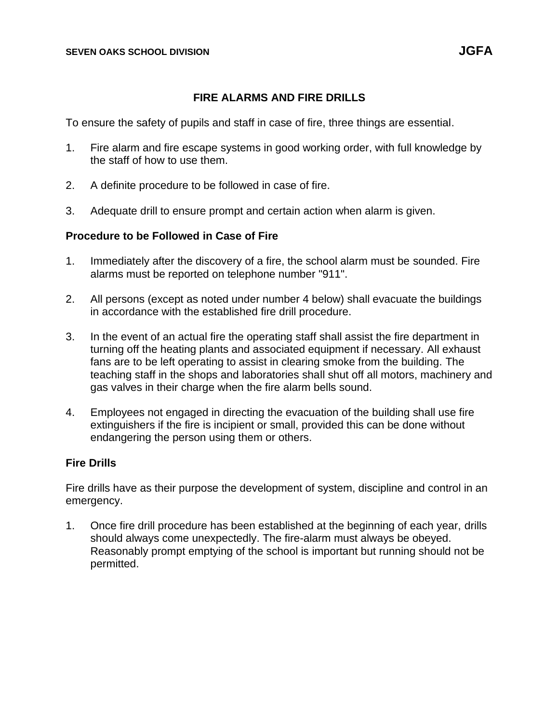## **FIRE ALARMS AND FIRE DRILLS**

To ensure the safety of pupils and staff in case of fire, three things are essential.

- 1. Fire alarm and fire escape systems in good working order, with full knowledge by the staff of how to use them.
- 2. A definite procedure to be followed in case of fire.
- 3. Adequate drill to ensure prompt and certain action when alarm is given.

## **Procedure to be Followed in Case of Fire**

- 1. Immediately after the discovery of a fire, the school alarm must be sounded. Fire alarms must be reported on telephone number "911".
- 2. All persons (except as noted under number 4 below) shall evacuate the buildings in accordance with the established fire drill procedure.
- 3. In the event of an actual fire the operating staff shall assist the fire department in turning off the heating plants and associated equipment if necessary. All exhaust fans are to be left operating to assist in clearing smoke from the building. The teaching staff in the shops and laboratories shall shut off all motors, machinery and gas valves in their charge when the fire alarm bells sound.
- 4. Employees not engaged in directing the evacuation of the building shall use fire extinguishers if the fire is incipient or small, provided this can be done without endangering the person using them or others.

## **Fire Drills**

Fire drills have as their purpose the development of system, discipline and control in an emergency.

1. Once fire drill procedure has been established at the beginning of each year, drills should always come unexpectedly. The fire-alarm must always be obeyed. Reasonably prompt emptying of the school is important but running should not be permitted.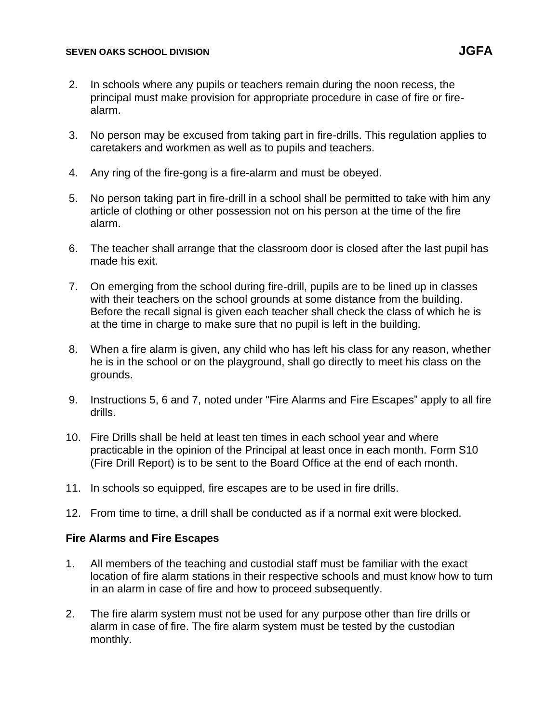#### **SEVEN OAKS SCHOOL DIVISION JGFA**

- 2. In schools where any pupils or teachers remain during the noon recess, the principal must make provision for appropriate procedure in case of fire or firealarm.
- 3. No person may be excused from taking part in fire-drills. This regulation applies to caretakers and workmen as well as to pupils and teachers.
- 4. Any ring of the fire-gong is a fire-alarm and must be obeyed.
- 5. No person taking part in fire-drill in a school shall be permitted to take with him any article of clothing or other possession not on his person at the time of the fire alarm.
- 6. The teacher shall arrange that the classroom door is closed after the last pupil has made his exit.
- 7. On emerging from the school during fire-drill, pupils are to be lined up in classes with their teachers on the school grounds at some distance from the building. Before the recall signal is given each teacher shall check the class of which he is at the time in charge to make sure that no pupil is left in the building.
- 8. When a fire alarm is given, any child who has left his class for any reason, whether he is in the school or on the playground, shall go directly to meet his class on the grounds.
- 9. Instructions 5, 6 and 7, noted under "Fire Alarms and Fire Escapes" apply to all fire drills.
- 10. Fire Drills shall be held at least ten times in each school year and where practicable in the opinion of the Principal at least once in each month. Form S10 (Fire Drill Report) is to be sent to the Board Office at the end of each month.
- 11. In schools so equipped, fire escapes are to be used in fire drills.
- 12. From time to time, a drill shall be conducted as if a normal exit were blocked.

# **Fire Alarms and Fire Escapes**

- 1. All members of the teaching and custodial staff must be familiar with the exact location of fire alarm stations in their respective schools and must know how to turn in an alarm in case of fire and how to proceed subsequently.
- 2. The fire alarm system must not be used for any purpose other than fire drills or alarm in case of fire. The fire alarm system must be tested by the custodian monthly.